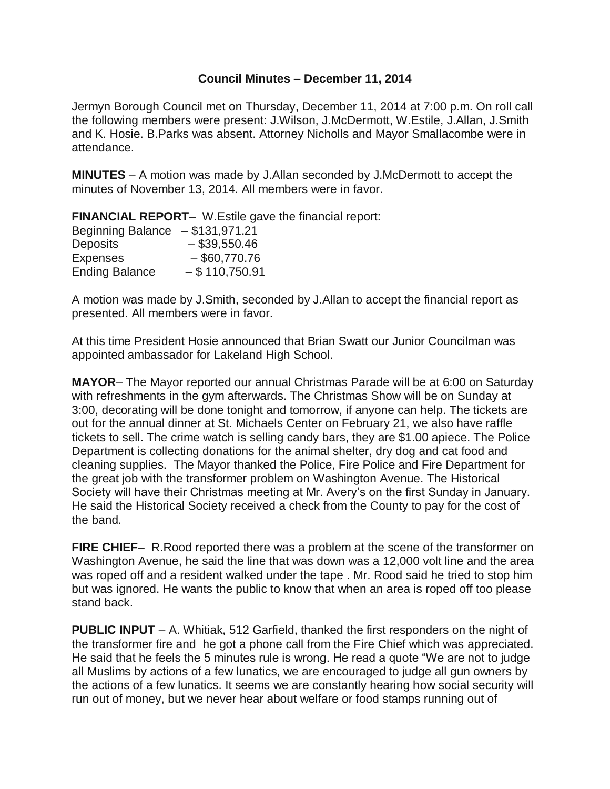## **Council Minutes – December 11, 2014**

Jermyn Borough Council met on Thursday, December 11, 2014 at 7:00 p.m. On roll call the following members were present: J.Wilson, J.McDermott, W.Estile, J.Allan, J.Smith and K. Hosie. B.Parks was absent. Attorney Nicholls and Mayor Smallacombe were in attendance.

**MINUTES** – A motion was made by J.Allan seconded by J.McDermott to accept the minutes of November 13, 2014. All members were in favor.

**FINANCIAL REPORT**– W.Estile gave the financial report:

| Beginning Balance $- $131,971.21$ |                  |
|-----------------------------------|------------------|
| <b>Deposits</b>                   | $-$ \$39,550.46  |
| <b>Expenses</b>                   | $-$ \$60,770.76  |
| <b>Ending Balance</b>             | $-$ \$110,750.91 |

A motion was made by J.Smith, seconded by J.Allan to accept the financial report as presented. All members were in favor.

At this time President Hosie announced that Brian Swatt our Junior Councilman was appointed ambassador for Lakeland High School.

**MAYOR**– The Mayor reported our annual Christmas Parade will be at 6:00 on Saturday with refreshments in the gym afterwards. The Christmas Show will be on Sunday at 3:00, decorating will be done tonight and tomorrow, if anyone can help. The tickets are out for the annual dinner at St. Michaels Center on February 21, we also have raffle tickets to sell. The crime watch is selling candy bars, they are \$1.00 apiece. The Police Department is collecting donations for the animal shelter, dry dog and cat food and cleaning supplies. The Mayor thanked the Police, Fire Police and Fire Department for the great job with the transformer problem on Washington Avenue. The Historical Society will have their Christmas meeting at Mr. Avery's on the first Sunday in January. He said the Historical Society received a check from the County to pay for the cost of the band.

**FIRE CHIEF**– R.Rood reported there was a problem at the scene of the transformer on Washington Avenue, he said the line that was down was a 12,000 volt line and the area was roped off and a resident walked under the tape . Mr. Rood said he tried to stop him but was ignored. He wants the public to know that when an area is roped off too please stand back.

**PUBLIC INPUT** – A. Whitiak, 512 Garfield, thanked the first responders on the night of the transformer fire and he got a phone call from the Fire Chief which was appreciated. He said that he feels the 5 minutes rule is wrong. He read a quote "We are not to judge all Muslims by actions of a few lunatics, we are encouraged to judge all gun owners by the actions of a few lunatics. It seems we are constantly hearing how social security will run out of money, but we never hear about welfare or food stamps running out of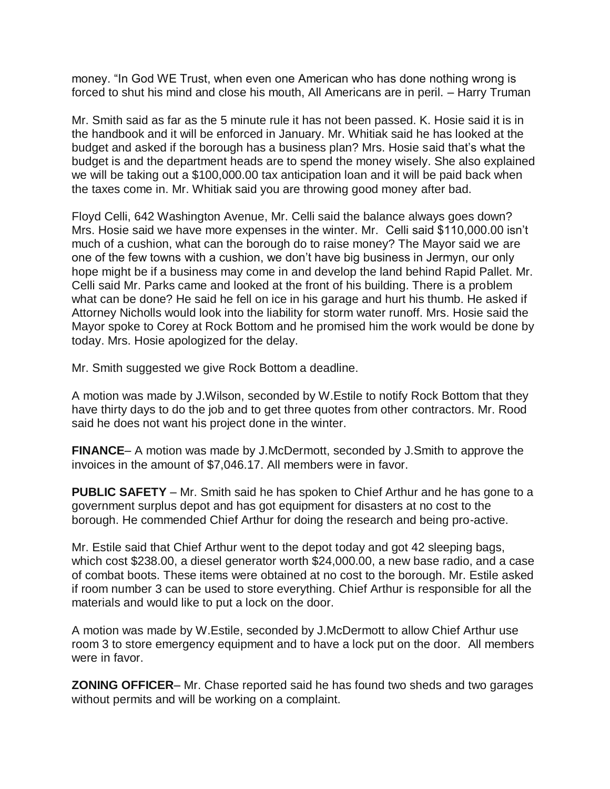money. "In God WE Trust, when even one American who has done nothing wrong is forced to shut his mind and close his mouth, All Americans are in peril. – Harry Truman

Mr. Smith said as far as the 5 minute rule it has not been passed. K. Hosie said it is in the handbook and it will be enforced in January. Mr. Whitiak said he has looked at the budget and asked if the borough has a business plan? Mrs. Hosie said that's what the budget is and the department heads are to spend the money wisely. She also explained we will be taking out a \$100,000.00 tax anticipation loan and it will be paid back when the taxes come in. Mr. Whitiak said you are throwing good money after bad.

Floyd Celli, 642 Washington Avenue, Mr. Celli said the balance always goes down? Mrs. Hosie said we have more expenses in the winter. Mr. Celli said \$110,000.00 isn't much of a cushion, what can the borough do to raise money? The Mayor said we are one of the few towns with a cushion, we don't have big business in Jermyn, our only hope might be if a business may come in and develop the land behind Rapid Pallet. Mr. Celli said Mr. Parks came and looked at the front of his building. There is a problem what can be done? He said he fell on ice in his garage and hurt his thumb. He asked if Attorney Nicholls would look into the liability for storm water runoff. Mrs. Hosie said the Mayor spoke to Corey at Rock Bottom and he promised him the work would be done by today. Mrs. Hosie apologized for the delay.

Mr. Smith suggested we give Rock Bottom a deadline.

A motion was made by J.Wilson, seconded by W.Estile to notify Rock Bottom that they have thirty days to do the job and to get three quotes from other contractors. Mr. Rood said he does not want his project done in the winter.

**FINANCE**– A motion was made by J.McDermott, seconded by J.Smith to approve the invoices in the amount of \$7,046.17. All members were in favor.

**PUBLIC SAFETY** – Mr. Smith said he has spoken to Chief Arthur and he has gone to a government surplus depot and has got equipment for disasters at no cost to the borough. He commended Chief Arthur for doing the research and being pro-active.

Mr. Estile said that Chief Arthur went to the depot today and got 42 sleeping bags, which cost \$238.00, a diesel generator worth \$24,000.00, a new base radio, and a case of combat boots. These items were obtained at no cost to the borough. Mr. Estile asked if room number 3 can be used to store everything. Chief Arthur is responsible for all the materials and would like to put a lock on the door.

A motion was made by W.Estile, seconded by J.McDermott to allow Chief Arthur use room 3 to store emergency equipment and to have a lock put on the door. All members were in favor.

**ZONING OFFICER**– Mr. Chase reported said he has found two sheds and two garages without permits and will be working on a complaint.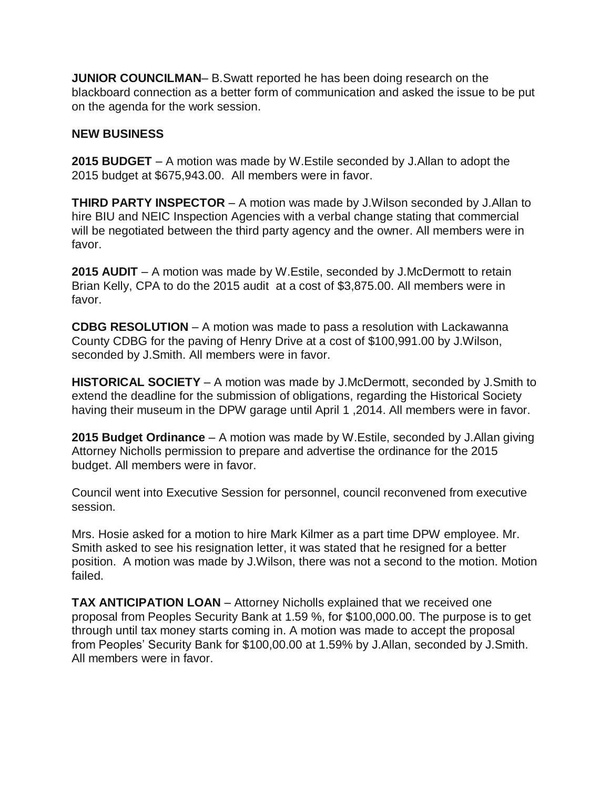**JUNIOR COUNCILMAN**– B.Swatt reported he has been doing research on the blackboard connection as a better form of communication and asked the issue to be put on the agenda for the work session.

## **NEW BUSINESS**

**2015 BUDGET** – A motion was made by W.Estile seconded by J.Allan to adopt the 2015 budget at \$675,943.00. All members were in favor.

**THIRD PARTY INSPECTOR** – A motion was made by J.Wilson seconded by J.Allan to hire BIU and NEIC Inspection Agencies with a verbal change stating that commercial will be negotiated between the third party agency and the owner. All members were in favor.

**2015 AUDIT** – A motion was made by W.Estile, seconded by J.McDermott to retain Brian Kelly, CPA to do the 2015 audit at a cost of \$3,875.00. All members were in favor.

**CDBG RESOLUTION** – A motion was made to pass a resolution with Lackawanna County CDBG for the paving of Henry Drive at a cost of \$100,991.00 by J.Wilson, seconded by J.Smith. All members were in favor.

**HISTORICAL SOCIETY** – A motion was made by J.McDermott, seconded by J.Smith to extend the deadline for the submission of obligations, regarding the Historical Society having their museum in the DPW garage until April 1 ,2014. All members were in favor.

**2015 Budget Ordinance** – A motion was made by W.Estile, seconded by J.Allan giving Attorney Nicholls permission to prepare and advertise the ordinance for the 2015 budget. All members were in favor.

Council went into Executive Session for personnel, council reconvened from executive session.

Mrs. Hosie asked for a motion to hire Mark Kilmer as a part time DPW employee. Mr. Smith asked to see his resignation letter, it was stated that he resigned for a better position. A motion was made by J.Wilson, there was not a second to the motion. Motion failed.

**TAX ANTICIPATION LOAN** – Attorney Nicholls explained that we received one proposal from Peoples Security Bank at 1.59 %, for \$100,000.00. The purpose is to get through until tax money starts coming in. A motion was made to accept the proposal from Peoples' Security Bank for \$100,00.00 at 1.59% by J.Allan, seconded by J.Smith. All members were in favor.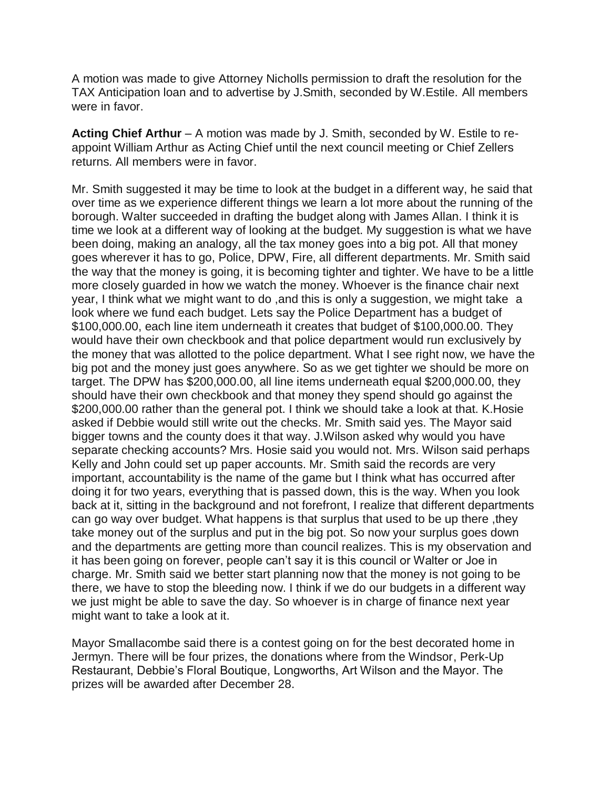A motion was made to give Attorney Nicholls permission to draft the resolution for the TAX Anticipation loan and to advertise by J.Smith, seconded by W.Estile. All members were in favor.

**Acting Chief Arthur** – A motion was made by J. Smith, seconded by W. Estile to reappoint William Arthur as Acting Chief until the next council meeting or Chief Zellers returns. All members were in favor.

Mr. Smith suggested it may be time to look at the budget in a different way, he said that over time as we experience different things we learn a lot more about the running of the borough. Walter succeeded in drafting the budget along with James Allan. I think it is time we look at a different way of looking at the budget. My suggestion is what we have been doing, making an analogy, all the tax money goes into a big pot. All that money goes wherever it has to go, Police, DPW, Fire, all different departments. Mr. Smith said the way that the money is going, it is becoming tighter and tighter. We have to be a little more closely guarded in how we watch the money. Whoever is the finance chair next year, I think what we might want to do ,and this is only a suggestion, we might take a look where we fund each budget. Lets say the Police Department has a budget of \$100,000.00, each line item underneath it creates that budget of \$100,000.00. They would have their own checkbook and that police department would run exclusively by the money that was allotted to the police department. What I see right now, we have the big pot and the money just goes anywhere. So as we get tighter we should be more on target. The DPW has \$200,000.00, all line items underneath equal \$200,000.00, they should have their own checkbook and that money they spend should go against the \$200,000.00 rather than the general pot. I think we should take a look at that. K. Hosie asked if Debbie would still write out the checks. Mr. Smith said yes. The Mayor said bigger towns and the county does it that way. J.Wilson asked why would you have separate checking accounts? Mrs. Hosie said you would not. Mrs. Wilson said perhaps Kelly and John could set up paper accounts. Mr. Smith said the records are very important, accountability is the name of the game but I think what has occurred after doing it for two years, everything that is passed down, this is the way. When you look back at it, sitting in the background and not forefront, I realize that different departments can go way over budget. What happens is that surplus that used to be up there ,they take money out of the surplus and put in the big pot. So now your surplus goes down and the departments are getting more than council realizes. This is my observation and it has been going on forever, people can't say it is this council or Walter or Joe in charge. Mr. Smith said we better start planning now that the money is not going to be there, we have to stop the bleeding now. I think if we do our budgets in a different way we just might be able to save the day. So whoever is in charge of finance next year might want to take a look at it.

Mayor Smallacombe said there is a contest going on for the best decorated home in Jermyn. There will be four prizes, the donations where from the Windsor, Perk-Up Restaurant, Debbie's Floral Boutique, Longworths, Art Wilson and the Mayor. The prizes will be awarded after December 28.